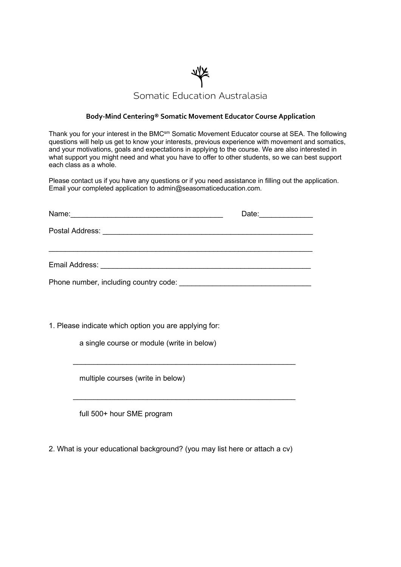

## **Body-Mind Centering® Somatic Movement Educator Course Application**

Thank you for your interest in the BMC<sup>sm</sup> Somatic Movement Educator course at SEA. The following questions will help us get to know your interests, previous experience with movement and somatics, and your motivations, goals and expectations in applying to the course. We are also interested in what support you might need and what you have to offer to other students, so we can best support each class as a whole.

Please contact us if you have any questions or if you need assistance in filling out the application. Email your completed application to admin@seasomaticeducation.com.

| Name:<br><u>state of the contract of the contract of the contract of the contract of the contract of the contract of</u> | Date:<br>the control of the control of the |
|--------------------------------------------------------------------------------------------------------------------------|--------------------------------------------|
| Postal Address: <u>____________________________</u>                                                                      |                                            |
|                                                                                                                          |                                            |
| Email Address:                                                                                                           |                                            |

 $\mathcal{L}_\text{max}$  and  $\mathcal{L}_\text{max}$  and  $\mathcal{L}_\text{max}$  and  $\mathcal{L}_\text{max}$  and  $\mathcal{L}_\text{max}$ 

 $\mathcal{L}_\text{max}$  and  $\mathcal{L}_\text{max}$  and  $\mathcal{L}_\text{max}$  and  $\mathcal{L}_\text{max}$  and  $\mathcal{L}_\text{max}$ 

Phone number, including country code:  $\blacksquare$ 

1. Please indicate which option you are applying for:

a single course or module (write in below)

multiple courses (write in below)

full 500+ hour SME program

2. What is your educational background? (you may list here or attach a cv)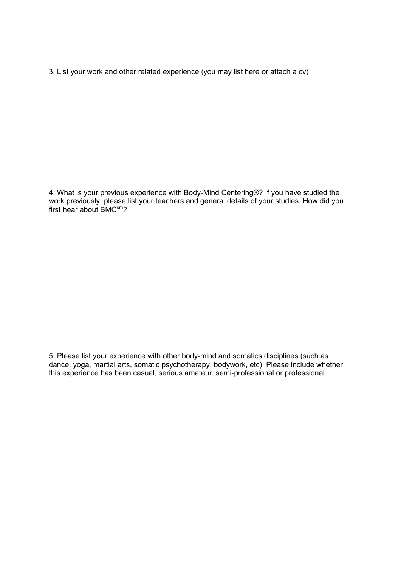3. List your work and other related experience (you may list here or attach a cv)

4. What is your previous experience with Body-Mind Centering®? If you have studied the work previously, please list your teachers and general details of your studies. How did you first hear about  $BMC^{sm}$ ?

5. Please list your experience with other body-mind and somatics disciplines (such as dance, yoga, martial arts, somatic psychotherapy, bodywork, etc). Please include whether this experience has been casual, serious amateur, semi-professional or professional.